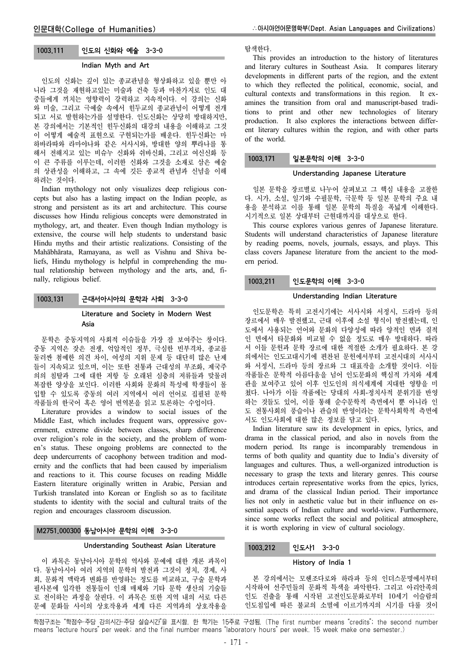## 1003.111 인도의 신화와 예술 3-3-0

### Indian Myth and Art

인도의 신화는 깊이 있는 종교관념을 형상화하고 있을 뿐만 아 니라 그것을 재현하고있는 미술과 건축 등과 마찬가지로 인도 대 중들에게 끼치는 영향력이 강력하고 지속적이다. 이 강의는 신화 와 미술, 그리고 극예술 속에서 힌두교의 종교관념이 어떻게 전개 되고 서로 발현하는가를 설명한다. 인도신화는 상당히 방대하지만, 본 강의에서는 기본적인 힌두신화의 대강의 내용을 이해하고 그것 이 어떻게 예술적 표현으로 구현되는가를 배운다. 힌두신화는 마 하바라따와 라마야나와 같은 서사시와, 방대한 양의 뿌라나를 통 해서 전해지고 있는 비슈누 신화와 쉬바신화, 그리고 여신신화 등 이 큰 주류를 이루는데, 이러한 신화와 그것을 소재로 삼은 예술 의 상관성을 이해하고, 그 속에 깃든 종교적 관념과 신념을 이해 하려는 것이다.

Indian mythology not only visualizes deep religious concepts but also has a lasting impact on the Indian people, as strong and persistent as its art and architecture. This course discusses how Hindu religious concepts were demonstrated in mythology, art, and theater. Even though Indian mythology is extensive, the course will help students to understand basic Hindu myths and their artistic realizations. Consisting of the Mahābhārata, Ramayana, as well as Vishnu and Shiva beliefs, Hindu mythology is helpful in comprehending the mutual relationship between mythology and the arts, and, finally, religious belief.

# 1003.131 근대서아시아의 문학과 사회 3-3-0

## Literature and Society in Modern West Asia

문학은 중동지역의 사회적 이슈들을 가장 잘 보여주는 창이다. 중동 지역은 잦은 전쟁, 억압적인 정부, 극심한 빈부격차, 종교를 둘러싼 첨예한 의견 차이, 여성의 지위 문제 등 대단히 많은 난제 들이 지속되고 있으며, 이는 또한 전통과 근대성의 부조화, 제국주 의의 침탈과 그에 대한 저항 등 오래된 심층의 저류들과 맞물려 복잡한 양상을 보인다. 이러한 사회와 문화의 특성에 학생들이 몰 입할 수 있도록 중동의 여러 지역에서 여러 언어로 집필된 문학 작품들의 한국어 혹은 영어 번역본을 읽고 토론하는 수업이다.

Literature provides a window to social issues of the Middle East, which includes frequent wars, oppressive government, extreme divide between classes, sharp difference over religion's role in the society, and the problem of women's status. These ongoing problems are connected to the deep undercurrents of cacophony between tradition and modernity and the conflicts that had been caused by imperialism and reactions to it. This course focuses on reading Middle Eastern literature originally written in Arabic, Persian and Turkish translated into Korean or English so as to facilitate students to identity with the social and cultural traits of the region and encourages classroom discussion.

## M2751.000300 동남아시아 문학의 이해 3-3-0

## Understanding Southeast Asian Literature

이 과목은 동남아시아 문학의 역사와 문예에 대한 개론 과목이 다. 동남아시아 여러 지역의 문학의 발전과 그것이 정치, 경제, 사 회, 문화적 맥락과 변화를 반영하는 정도를 비교하고, 구술 문학과 필사본에 입각한 전통들이 인쇄 매체와 기타 문학 생산의 기술들 로 전이하는 과정을 살핀다. 이 과목은 또한 지역 내의 서로 다른 문예 문화들 사이의 상호작용과 세계 다른 지역과의 상호작용을

탐색한다.

This provides an introduction to the history of literatures and literary cultures in Southeast Asia. It compares literary developments in different parts of the region, and the extent to which they reflected the political, economic, social, and cultural contexts and transformations in this region. It examines the transition from oral and manuscript-based traditions to print and other new technologies of literary production. It also explores the interactions between different literary cultures within the region, and with other parts of the world.

## 1003.171 일본문학의 이해 3-3-0

#### Understanding Japanese Literature

일본 문학을 장르별로 나누어 살펴보고 그 핵심 내용을 고찰한 다. 시가, 소설, 일기와 수필문학, 극문학 등 일본 문학의 주요 내 용을 분석하고 이를 통해 일본 문학의 특질을 폭넓게 이해한다. 시기적으로 일본 상대부터 근현대까지를 대상으로 한다.

This course explores various genres of Japanese literature. Students will understand characteristics of Japanese literature by reading poems, novels, journals, essays, and plays. This class covers Japanese literature from the ancient to the modern period.

# 1003.211 인도문학의 이해 3-3-0

#### Understanding Indian Literature

인도문학은 특히 고전시기에는 서사시와 서정시, 드라마 등의 장르에서 매우 발전했고, 근대 이후에 소설 형식이 발전했는데, 인 도에서 사용되는 언어와 문화의 다양성에 따라 양적인 면과 질적 인 면에서 타문화와 비교될 수 없을 정도로 매우 방대하다. 따라 서 이들 문헌과 문학 장르에 대한 적절한 소개가 필요하다. 본 강 의에서는 인도고대시기에 편찬된 문헌에서부터 고전시대의 서사시 와 서정시, 드라마 등의 장르와 그 대표작을 소개할 것이다. 이들 작품들은 문학적 아름다움을 넘어 인도문화의 핵심적 가치와 세계 관을 보여주고 있어 이후 인도인의 의식세계에 지대한 영향을 미 쳤다. 나아가 이들 작품에는 당대의 사회-정치사적 분위기를 반영 하는 것들도 있어, 이를 통해 순수문학적 측면에서 뿐 아니라 인 도 전통사회의 풍습이나 관습의 반영이라는 문학사회학적 측면에 서도 인도사회에 대한 많은 정보를 담고 있다.

Indian literature saw its development in epics, lyrics, and drama in the classical period, and also in novels from the modern period. Its range is incomparably tremendous in terms of both quality and quantity due to India's diversity of languages and cultures. Thus, a well-organized introduction is necessary to grasp the texts and literary genres. This course introduces certain representative works from the epics, lyrics, and drama of the classical Indian period. Their importance lies not only in aesthetic value but in their influence on essential aspects of Indian culture and world-view. Furthermore, since some works reflect the social and political atmosphere, it is worth exploring in view of cultural sociology.

## 1003.212 인도사1 3-3-0

#### History of India 1

본 강의에서는 모헨조다로와 하라파 등의 인더스문명에서부터 시작하여 선주민들의 문화적 특색을 파악한다. 그리고 아리안족의 인도 진출을 통해 시작된 고전인도문화로부터 10세기 이슬람의 인도침입에 따른 불교의 소멸에 이르기까지의 시기를 다룰 것이

학점구조는 "학점수-주당 강의시간-주당 실습시간"을 표시함. 한 학기는 15주로 구성됨. (The first number means "credits"; the second number means "lecture hours" per week; and the final number means "laboratory hours" per week. 15 week make one semester.)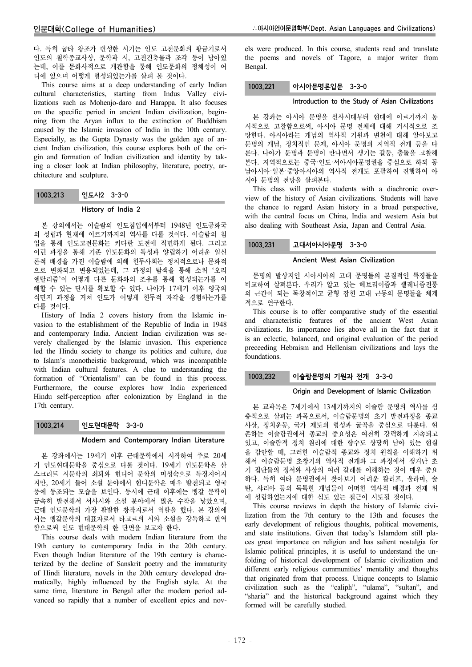다. 특히 굽타 왕조가 번성한 시기는 인도 고전문화의 황금기로서 인도의 철학종교사상, 문학과 시, 고전건축물과 조각 등이 남아있 는데, 이를 문화사적으로 개관함을 통해 인도문화의 정체성이 어 디에 있으며 어떻게 형성되었는가를 살펴 볼 것이다.

This course aims at a deep understanding of early Indian cultural characteristics, starting from Indus Valley civilizations such as Mohenjo-daro and Harappa. It also focuses on the specific period in ancient Indian civilization, beginning from the Aryan influx to the extinction of Buddhism caused by the Islamic invasion of India in the 10th century. Especially, as the Gupta Dynasty was the golden age of ancient Indian civilization, this course explores both of the origin and formation of Indian civilization and identity by taking a closer look at Indian philosophy, literature, poetry, architecture and sculpture.

# 1003.213 인도사2 3-3-0

## History of India 2

본 강의에서는 이슬람의 인도침입에서부터 1948년 인도공화국 의 성립과 현재에 이르기까지의 역사를 다룰 것이다. 이슬람의 침 입을 통해 인도고전문화는 커다란 도전에 직면하게 된다. 그리고 이런 과정을 통해 기존 인도문화의 특성과 양립하기 어려운 일신 론적 배경을 가진 이슬람에 의해 힌두사회는 정치적으로나 문화적 으로 변화되고 변용되었는데, 그 과정의 탐색을 통해 소위 '오리 엔탈리즘'이 어떻게 다른 문화와의 조우를 통해 형성되는가를 이 해할 수 있는 단서를 확보할 수 있다. 나아가 17세기 이후 영국의 식민지 과정을 거쳐 인도가 어떻게 힌두적 자각을 경험하는가를 다룰 것이다.

History of India 2 covers history from the Islamic invasion to the establishment of the Republic of India in 1948 and contemporary India. Ancient Indian civilization was severely challenged by the Islamic invasion. This experience led the Hindu society to change its politics and culture, due to Islam's monotheistic background, which was incompatible with Indian cultural features. A clue to understanding the formation of "Orientalism" can be found in this process. Furthermore, the course explores how India experienced Hindu self-perception after colonization by England in the 17th century.

# 1003.214 인도현대문학 3-3-0

## Modern and Contemporary Indian Literature

본 강좌에서는 19세기 이후 근대문학에서 시작하여 주로 20세 기 인도현대문학을 중심으로 다룰 것이다. 19세기 인도문학은 산 스크리트 시문학의 쇠퇴와 힌디어 문학의 미성숙으로 특징지어지 지만, 20세기 들어 소설 분야에서 힌디문학은 매우 발전되고 영국 풍에 동조되는 모습을 보인다. 동시에 근대 이후에는 벵갈 문학이 급속히 발전해서 서사시와 소설 분야에서 많은 수작을 낳았으며, 근대 인도문학의 가장 활발한 창작지로서 역할을 했다. 본 강의에 서는 벵갈문학의 대표자로서 타고르의 시와 소설을 강독하고 번역 함으로써 인도 현대문학의 한 단면을 보고자 한다.

This course deals with modern Indian literature from the 19th century to contemporary India in the 20th century. Even though Indian literature of the 19th century is characterized by the decline of Sanskrit poetry and the immaturity of Hindi literature, novels in the 20th century developed dramatically, highly influenced by the English style. At the same time, literature in Bengal after the modern period advanced so rapidly that a number of excellent epics and novels were produced. In this course, students read and translate the poems and novels of Tagore, a major writer from Bengal.

## 1003.221 아시아문명론입문 3-3-0

#### Introduction to the Study of Asian Civilizations

본 강좌는 아시아 문명을 선사시대부터 현대에 이르기까지 통 시적으로 고찰함으로써, 아시아 문명 전체에 대해 거시적으로 조 망한다. 아시아라는 개념의 역사적 기원과 변천에 대해 알아보고 문명의 개념, 정치적인 문제, 아시아 문명의 지역적 전개 등을 다 룬다. 나아가 문명과 문명이 만나면서 생기는 갈등, 충돌을 고찰해 본다. 지역적으로는 중국·인도·서아시아문명권을 중심으로 하되 동 남아시아·일본·중앙아시아의 역사적 전개도 포괄하여 진행하여 아 시아 문명의 전망을 살펴본다.

This class will provide students with a diachronic overview of the history of Asian civilizations. Students will have the chance to regard Asian history in a broad perspective, with the central focus on China, India and western Asia but also dealing with Southeast Asia, Japan and Central Asia.

# 1003.231 고대서아시아문명 3-3-0

### Ancient West Asian Civilization

문명의 발상지인 서아시아의 고대 문명들의 본질적인 특징들을 비교하여 살펴본다. 우리가 알고 있는 헤브리이즘과 헬레니즘전통 의 근간이 되는 독창적이고 균형 잡힌 고대 근동의 문명들을 체계 적으로 연구한다.

This course is to offer comparative study of the essential and characteristic features of the ancient West Asian civilizations. Its importance lies above all in the fact that it is an eclectic, balanced, and original evaluation of the period preceeding Hebraism and Hellenism civilizations and lays the foundations.

## 1003.232 이슬람문명의 기원과 전개 3-3-0

## Origin and Development of Islamic Civilization

본 교과목은 7세기에서 13세기까지의 이슬람 문명의 역사를 심 층적으로 살피는 과목으로서, 이슬람문명의 초기 발전과정을 종교 사상, 정치운동, 국가 제도의 형성과 굴곡을 중심으로 다룬다. 현 존하는 이슬람권에서 종교의 중요성은 여전히 강력하게 지속되고 있고, 이슬람적 정치 원리에 대한 향수도 상당히 남아 있는 현실 을 감안할 때, 그러한 이슬람적 종교와 정치 원칙을 이해하기 위 해서 이슬람문명 초창기의 역사적 전개와 그 과정에서 생겨난 초 기 집단들의 정서와 사상의 여러 갈래를 이해하는 것이 매우 중요 하다. 특히 여타 문명권에서 찾아보기 어려운 칼리프, 울라마, 술 탄, 샤리아 등의 독특한 개념들이 어떠한 역사적 배경과 전제 위 에 성립하였는지에 대한 심도 있는 접근이 시도될 것이다.

This course reviews in depth the history of Islamic civilization from the 7th century to the 13th and focuses the early development of religious thoughts, political movements, and state institutions. Given that today's Islamdom still places great importance on religion and has salient nostalgia for Islamic political principles, it is useful to understand the unfolding of historical development of Islamic civilization and different early religious communities' mentality and thoughts that originated from that process. Unique concepts to Islamic civilization such as the "caliph", "ulama", "sultan", and "sharia" and the historical background against which they formed will be carefully studied.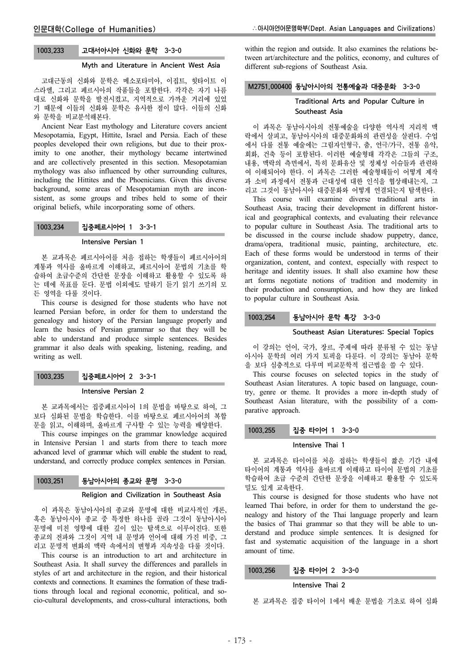# 1003.233 고대서아시아 신화와 문학 3-3-0

#### Myth and Literature in Ancient West Asia

고대근동의 신화와 문학은 메소포타미아, 이집트, 힛타이트 이 스라엘, 그리고 페르시아의 작품들을 포함한다. 각각은 자기 나름 대로 신화와 문학을 발전시켰고, 지역적으로 가까운 거리에 있었 기 때문에 이들의 신화와 문학은 유사한 점이 많다. 이들의 신화 와 문학을 비교분석해본다.

Ancient Near East mythology and Literature covers ancient Mesopotamia, Egypt, Hittite, Israel and Persia. Each of these peoples developed their own religions, but due to their proximity to one another, their mythology became intertwined and are collectively presented in this section. Mesopotamian mythology was also influenced by other surrounding cultures, including the Hittites and the Phoenicians. Given this diverse background, some areas of Mesopotamian myth are inconsistent, as some groups and tribes held to some of their original beliefs, while incorporating some of others.

# 1003.234 집중페르시아어 1 3-3-1

# Intensive Persian 1

본 교과목은 페르시아어를 처음 접하는 학생들이 페르시아어의 계통과 역사를 올바르게 이해하고, 페르시아어 문법의 기초를 학 습하여 초급수준의 간단한 문장을 이해하고 활용할 수 있도록 하 는 데에 목표를 둔다. 문법 이외에도 말하기 듣기 읽기 쓰기의 모 든 영역을 다룰 것이다.

This course is designed for those students who have not learned Persian before, in order for them to understand the genealogy and history of the Persian language properly and learn the basics of Persian grammar so that they will be able to understand and produce simple sentences. Besides grammar it also deals with speaking, listening, reading, and writing as well.

# 1003.235 집중페르시아어 2 3-3-1

#### Intensive Persian 2

본 교과목에서는 집중페르시아어 1의 문법을 바탕으로 하여, 그 보다 심화된 문법을 학습한다. 이를 바탕으로 페르시아어의 복합 문을 읽고, 이해하며, 올바르게 구사할 수 있는 능력을 배양한다.

This course impinges on the grammar knowledge acquired in Intensive Persian 1 and starts from there to teach more advanced level of grammar which will enable the student to read, understand, and correctly produce complex sentences in Persian.

# 1003.251 동남아시아의 종교와 문명 3-3-0

#### Religion and Civilization in Southeast Asia

이 과목은 동남아시아의 종교와 문명에 대한 비교사적인 개론, 혹은 동남아시아 종교 중 특정한 하나를 골라 그것이 동남아시아 문명에 미친 영향에 대한 깊이 있는 탐색으로 이루어진다. 또한 종교의 전파와 그것이 지역 내 문명과 언어에 대해 가진 비중, 그 리고 문명적 변화의 맥락 속에서의 변형과 지속성을 다룰 것이다.

This course is an introduction to art and architecture in Southeast Asia. It shall survey the differences and parallels in styles of art and architecture in the region, and their historical contexts and connections. It examines the formation of these traditions through local and regional economic, political, and socio-cultural developments, and cross-cultural interactions, both

within the region and outside. It also examines the relations between art/architecture and the politics, economy, and cultures of different sub-regions of Southeast Asia.

## M2751.000400 동남아시아의 전통예술과 대중문화 3-3-0

# Traditional Arts and Popular Culture in Southeast Asia

이 과목은 동남아시아의 전통예술을 다양한 역사적 지리적 맥 락에서 살피고, 동남아시아의 대중문화와의 관련성을 살핀다. 수업 에서 다룰 전통 예술에는 그림자인형극, 춤, 연극/가극, 전통 음악, 회화, 건축 등이 포함된다. 이러한 예술형태 각각은 그들의 구조, 내용, 맥락의 측면에서, 특히 문화유산 및 정체성 이슈들과 관련하 여 이해되어야 한다. 이 과목은 그러한 예술형태들이 어떻게 제작 과 소비 과정에서 전통과 근대성에 대한 인식을 협상해내는지, 그 리고 그것이 동남아시아 대중문화와 어떻게 연결되는지 탐색한다.

This course will examine diverse traditional arts in Southeast Asia, tracing their development in different historical and geographical contexts, and evaluating their relevance to popular culture in Southeast Asia. The traditional arts to be discussed in the course include shadow puppetry, dance, drama/opera, traditional music, painting, architecture, etc. Each of these forms would be understood in terms of their organization, content, and context, especially with respect to heritage and identity issues. It shall also examine how these art forms negotiate notions of tradition and modernity in their production and consumption, and how they are linked to popular culture in Southeast Asia.

## 1003.254 동남아시아 문학 특강 3-3-0

#### Southeast Asian Literatures: Special Topics

이 강의는 언어, 국가, 장르, 주제에 따라 분류될 수 있는 동남 아시아 문학의 여러 가지 토픽을 다룬다. 이 강의는 동남아 문학 을 보다 심층적으로 다루며 비교문학적 접근법을 쓸 수 있다.

This course focuses on selected topics in the study of Southeast Asian literatures. A topic based on language, country, genre or theme. It provides a more in-depth study of Southeast Asian literature, with the possibility of a comparative approach.

## 1003.255 집중 타이어 1 3-3-0

#### Intensive Thai 1

본 교과목은 타이어를 처음 접하는 학생들이 짧은 기간 내에 타이어의 계통과 역사를 올바르게 이해하고 타이어 문법의 기초를 학습하여 초급 수준의 간단한 문장을 이해하고 활용할 수 있도록 밀도 있게 교육한다.

This course is designed for those students who have not learned Thai before, in order for them to understand the genealogy and history of the Thai language properly and learn the basics of Thai grammar so that they will be able to understand and produce simple sentences. It is designed for fast and systematic acquisition of the language in a short amount of time.

### 1003.256 집중 타이어 2 3-3-0

#### Intensive Thai 2

본 교과목은 집중 타이어 1에서 배운 문법을 기초로 하여 심화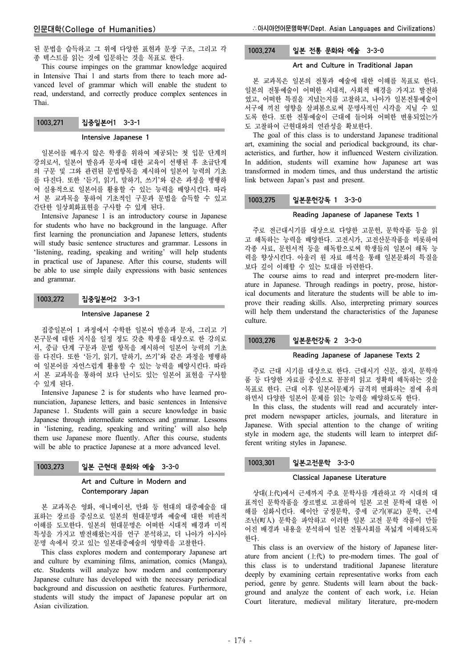된 문법을 습득하고 그 위에 다양한 표현과 문장 구조, 그리고 각 종 텍스트를 읽는 것에 입문하는 것을 목표로 한다.

This course impinges on the grammar knowledge acquired in Intensive Thai 1 and starts from there to teach more advanced level of grammar which will enable the student to read, understand, and correctly produce complex sentences in Thai.

## 1003.271 집중일본어1 3-3-1

#### Intensive Japanese 1

일본어를 배우지 않은 학생을 위하여 제공되는 첫 입문 단계의 강의로서, 일본어 발음과 문자에 대한 교육이 선행된 후 초급단계 의 구문 및 그와 관련된 문법항목을 제시하여 일본어 능력의 기초 를 다진다. 또한 '듣기, 읽기, 말하기, 쓰기'와 같은 과정을 병행하 여 실용적으로 일본어를 활용할 수 있는 능력을 배양시킨다. 따라 서 본 교과목을 통하여 기초적인 구문과 문법을 습득할 수 있고 간단한 일상회화표현을 구사할 수 있게 된다.

Intensive Japanese 1 is an introductory course in Japanese for students who have no background in the language. After first learning the pronunciation and Japanese letters, students will study basic sentence structures and grammar. Lessons in 'listening, reading, speaking and writing' will help students in practical use of Japanese. After this course, students will be able to use simple daily expressions with basic sentences and grammar.

# 1003.272 집중일본어2 3-3-1

#### Intensive Japanese 2

집중일본어 1 과정에서 수학한 일본어 발음과 문자, 그리고 기 본구문에 대한 지식을 일정 정도 갖춘 학생을 대상으로 한 강의로 서, 중급 단계 구문과 문법 항목을 제시하여 일본어 능력의 기초 를 다진다. 또한 '듣기, 읽기, 말하기, 쓰기'와 같은 과정을 병행하 여 일본어를 자연스럽게 활용할 수 있는 능력을 배양시킨다. 따라 서 본 교과목을 통하여 보다 난이도 있는 일본어 표현을 구사할 수 있게 된다.

Intensive Japanese 2 is for students who have learned pronunciation, Japanese letters, and basic sentences in Intensive Japanese 1. Students will gain a secure knowledge in basic Japanese through intermediate sentences and grammar. Lessons in 'listening, reading, speaking and writing' will also help them use Japanese more fluently. After this course, students will be able to practice Japanese at a more advanced level.

## 1003.273 일본 근현대 문화와 예술 3-3-0

# Art and Culture in Modern and Contemporary Japan

본 교과목은 영화, 애니메이션, 만화 등 현대의 대중예술을 대 표하는 장르를 중심으로 일본의 현대문명과 예술에 대한 비판적 이해를 도모한다. 일본의 현대문명은 어떠한 시대적 배경과 미적 특성을 가지고 발전해왔는지를 연구 분석하고, 더 나아가 아시아 문명 속에서 갖고 있는 일본대중예술의 영향력을 고찰한다.

This class explores modern and contemporary Japanese art and culture by examining films, animation, comics (Manga), etc. Students will analyze how modern and contemporary Japanese culture has developed with the necessary periodical background and discussion on aesthetic features. Furthermore, students will study the impact of Japanese popular art on Asian civilization.

# 1003.274 일본 전통 문화와 예술 3-3-0

#### Art and Culture in Traditional Japan

본 교과목은 일본의 전통과 예술에 대한 이해를 목표로 한다. 일본의 전통예술이 어떠한 시대적, 사회적 배경을 가지고 발전하 였고, 어떠한 특질을 지녔는지를 고찰하고, 나아가 일본전통예술이 서구에 끼친 영향을 살펴봄으로써 문명사적인 시각을 지닐 수 있 도록 한다. 또한 전통예술이 근대에 들어와 어떠한 변용되었는가 도 고찰하여 근현대와의 연관성을 확보한다.

The goal of this class is to understand Japanese traditional art, examining the social and periodical background, its characteristics, and further, how it influenced Western civilization. In addition, students will examine how Japanese art was transformed in modern times, and thus understand the artistic link between Japan's past and present.

#### 1003.275 일본문헌강독 1 3-3-0

#### Reading Japanese of Japanese Texts 1

주로 전근대시기를 대상으로 다양한 고문헌, 문학작품 등을 읽 고 해독하는 능력을 배양한다. 고전시가, 고전산문작품을 비롯하여 각종 사료, 문헌서적 등을 해독함으로써 학생들의 일본어 해독 능 력을 향상시킨다. 아울러 원 자료 해석을 통해 일본문화의 특질을 보다 깊이 이해할 수 있는 토대를 마련한다.

The course aims to read and interpret pre-modern literature in Japanese. Through readings in poetry, prose, historical documents and literature the students will be able to improve their reading skills. Also, interpreting primary sources will help them understand the characteristics of the Japanese culture.

#### 1003.276 일본문헌강독 2 3-3-0

#### Reading Japanese of Japanese Texts 2

주로 근대 시기를 대상으로 한다. 근대시기 신문, 잡지, 문학작 품 등 다양한 자료를 중심으로 꼼꼼히 읽고 정확히 해독하는 것을 목표로 한다. 근대 이후 일본어문체가 급격히 변화하는 점에 유의 하면서 다양한 일본어 문체를 읽는 능력을 배양하도록 한다.

In this class, the students will read and accurately interpret modern newspaper articles, journals, and literature in Japanese. With special attention to the change of writing style in modern age, the students will learn to interpret different writing styles in Japanese.

# 1003.301 일본고전문학 3-3-0

#### Classical Japanese Literature

상대(上代)에서 근세까지 주요 문학사를 개관하고 각 시대의 대 표적인 문학작품을 장르별로 고찰하여 일본 고전 문학에 대한 이 해를 심화시킨다. 헤이안 궁정문학, 중세 군기(軍記) 문학, 근세 조닌(町人) 문학을 파악하고 이러한 일본 고전 문학 작품이 만들 어진 배경과 내용을 분석하여 일본 전통사회를 폭넓게 이해하도록 한다.

This class is an overview of the history of Japanese literature from ancient  $( \pm \mathcal{R} )$  to pre-modern times. The goal of this class is to understand traditional Japanese literature deeply by examining certain representative works from each period, genre by genre. Students will learn about the background and analyze the content of each work, i.e. Heian Court literature, medieval military literature, pre-modern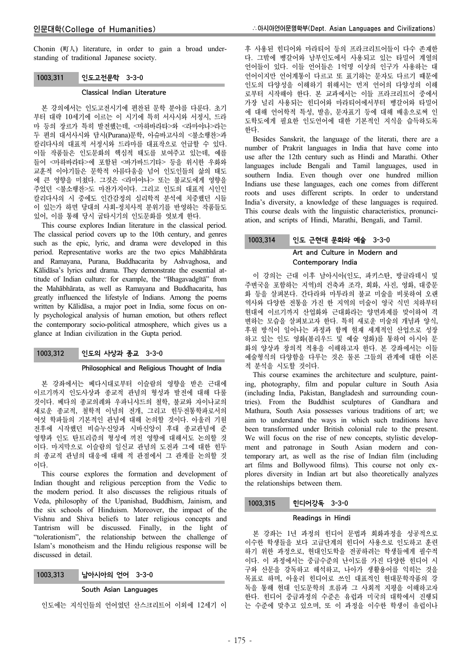Chonin (町人) literature, in order to gain a broad understanding of traditional Japanese society.

## 1003.311 인도고전문학 3-3-0

### Classical Indian Literature

본 강의에서는 인도고전시기에 편찬된 문학 분야를 다룬다. 초기 부터 대략 10세기에 이르는 이 시기에 특히 서사시와 서정시, 드라 마 등의 장르가 특히 발전했는데, <마하바라타>와 <라마야나>라는 두 편의 대서사시와 담시(Purana)문학, 아슈바고사의 <불소행찬>과 칼리다사의 대표적 서정시와 드라마를 대표작으로 언급할 수 있다. 이들 작품들은 인도문화의 핵심적 태도를 보여주고 있는데, 예를 들어 <마하바라타>에 포함된 <바가바드기타> 등을 위시한 우화와 교훈적 이야기들은 문학적 아름다움을 넘어 인도인들의 삶의 태도 에 큰 영향을 미쳤다. 그것은 <라마야나> 또는 불교도에게 영향을 주었던 <불소행찬>도 마찬가지이다. 그리고 인도의 대표적 시인인 칼리다사의 시 중에도 인간감정의 심리학적 분석에 치중했던 시들 이 있는가 하면 당대의 사회-정치사적 분위기를 반영하는 작품들도 있어, 이를 통해 당시 굽타시기의 인도문화를 엿보게 한다.

This course explores Indian literature in the classical period. The classical period covers up to the 10th century, and genres such as the epic, lyric, and drama were developed in this period. Representative works are the two epics Mahābhārata and Ramayana, Purana, Buddhacarita by Ashvaghosa, and Kālidāsa's lyrics and drama. They demonstrate the essential attitude of Indian culture: for example, the "Bhagavadgītā" from the Mahābhārata, as well as Ramayana and Buddhacarita, has greatly influenced the lifestyle of Indians. Among the poems written by Kālidāsa, a major poet in India, some focus on only psychological analysis of human emotion, but others reflect the contemporary socio-political atmosphere, which gives us a glance at Indian civilization in the Gupta period.

# 1003.312 인도의 사상과 종교 3-3-0

#### Philosophical and Religious Thought of India

본 강좌에서는 베다시대로부터 이슬람의 영향을 받은 근대에 이르기까지 인도사상과 종교적 관념의 형성과 발전에 대해 다룰 것이다. 베다의 종교의례와 우파니샤드의 철학, 불교와 자이나교의 새로운 종교적, 철학적 이념의 전개, 그리고 힌두전통학파로서의 여섯 학파들의 기본적인 관념에 대해 논의할 것이다. 아울러 기원 전후에 시작했던 비슈누신앙과 시바신앙이 후대 종교관념에 준 영향과 인도 탄트리즘의 형성에 끼친 영향에 대해서도 논의할 것 이다. 마지막으로 이슬람의 일신교 관념의 도전과 그에 대한 힌두 의 종교적 관념의 대응에 대해 적 관점에서 그 관계를 논의할 것 이다.

This course explores the formation and development of Indian thought and religious perception from the Vedic to the modern period. It also discusses the religious rituals of Veda, philosophy of the Upanishad, Buddhism, Jainism, and the six schools of Hinduism. Moreover, the impact of the Vishnu and Shiva beliefs to later religious concepts and Tantrism will be discussed. Finally, in the light of "tolerationism", the relationship between the challenge of Islam's monotheism and the Hindu religious response will be discussed in detail.

# 1003.313 남아시아의 언어 3-3-0

## South Asian Languages

인도에는 지식인들의 언어였던 산스크리트어 이외에 12세기 이

후 사용된 힌디어와 마라티어 등의 프라크리트어들이 다수 존재한 다. 그밖에 벵갈어와 남부인도에서 사용되고 있는 타밀어 계열의 언어들이 있다. 이들 언어들은 1억명 이상의 인구가 사용하는 대 언어이지만 언어계통이 다르고 또 표기하는 문자도 다르기 때문에 인도의 다양성을 이해하기 위해서는 먼저 언어의 다양성의 이해 로부터 시작해야 한다. 본 교과에서는 이들 프라크리트어 중에서 가장 널리 사용되는 힌디어와 마라티어에서부터 벵갈어와 타밀어 에 대해 언어학적 특성, 발음, 문자표기 등에 대해 배움으로써 인 도학도에게 필요한 인도언어에 대한 기본적인 지식을 습득하도록 한다.

Besides Sanskrit, the language of the literati, there are a number of Prakrit languages in India that have come into use after the 12th century such as Hindi and Marathi. Other languages include Bengali and Tamil languages, used in southern India. Even though over one hundred million Indians use these languages, each one comes from different roots and uses different scripts. In order to understand India's diversity, a knowledge of these languages is required. This course deals with the linguistic characteristics, pronunciation, and scripts of Hindi, Marathi, Bengali, and Tamil.

# 1003.314 인도 근현대 문화와 예술 3-3-0 Art and Culture in Modern and Contemporary India

이 강의는 근대 이후 남아시아(인도, 파키스탄, 방글라데시 및 주변국을 포함하는 지역)의 건축과 조각, 회화, 사진, 영화, 대중문 화 등을 살펴본다. 간다라와 마투라의 불교 미술을 비롯하여 오랜 역사와 다양한 전통을 가진 한 지역의 미술이 영국 식민 치하부터 현대에 이르기까지 산업화와 근대화라는 양면과제를 맞이하여 격 변하는 모습을 살펴보고자 한다. 특히 새로운 미술의 개념과 양식, 후원 방식이 일어나는 과정과 함께 현재 세계적인 산업으로 성장 하고 있는 인도 영화(볼리우드 및 예술 영화)를 통하여 아시아 문 화의 양상과 창의적 적용을 이해하고자 한다. 본 강좌에서는 이들 예술형식의 다양함을 다루는 것은 물론 그들의 관계에 대한 이론 적 분석을 시도할 것이다.

This course examines the architecture and sculpture, painting, photography, film and popular culture in South Asia (including India, Pakistan, Bangladesh and surrounding countries). From the Buddhist sculptures of Gandhara and Mathura, South Asia possesses various traditions of art; we aim to understand the ways in which such traditions have been transformed under British colonial rule to the present. We will focus on the rise of new concepts, stylistic development and patronage in South Asian modern and contemporary art, as well as the rise of Indian film (including art films and Bollywood films). This course not only explores diversity in Indian art but also theoretically analyzes the relationships between them.

## 1003.315 힌디어강독 3-3-0

## Readings in Hindi

본 강좌는 1년 과정의 힌디어 문법과 회화과정을 성공적으로 이수한 학생들을 보다 고급단계의 힌디어 사용으로 인도하고 훈련 하기 위한 과정으로, 현대인도학을 전공하려는 학생들에게 필수적 이다. 이 과정에서는 중급수준의 난이도를 가진 다양한 힌디어 시 구와 산문을 강독하고 해석하고, 나아가 생활용어를 익히는 것을 목표로 하며, 아울러 힌디어로 쓰인 대표적인 현대문학작품의 강 독을 통해 현대 인도문학의 흐름과 그 사회적 지평을 이해하고자 한다. 힌디어 중급과정의 수준은 유럽과 미국의 대학에서 진행되 는 수준에 맞추고 있으며, 또 이 과정을 이수한 학생이 유럽이나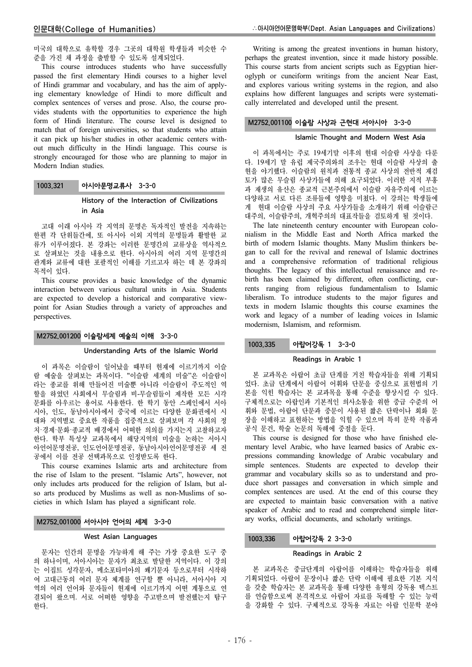미국의 대학으로 유학할 경우 그곳의 대학원 학생들과 비슷한 수 준을 가진 채 과정을 출발할 수 있도록 설계되었다.

This course introduces students who have successfully passed the first elementary Hindi courses to a higher level of Hindi grammar and vocabulary, and has the aim of applying elementary knowledge of Hindi to more difficult and complex sentences of verses and prose. Also, the course provides students with the opportunities to experience the high form of Hindi literature. The course level is designed to match that of foreign universities, so that students who attain it can pick up his/her studies in other academic centers without much difficulty in the Hindi language. This course is strongly encouraged for those who are planning to major in Modern Indian studies.

## 1003.321 아시아문명교류사 3-3-0

# History of the Interaction of Civilizations in Asia

고대 이래 아시아 각 지역의 문명은 독자적인 발전을 지속하는 한편 각 단위들간에, 또 아시아 이외 지역의 문명들과 활발한 교 류가 이루어졌다. 본 강좌는 이러한 문명간의 교류상을 역사적으 로 살펴보는 것을 내용으로 한다. 아시아의 여러 지역 문명간의 관계와 교류에 대한 포괄적인 이해를 기르고자 하는 데 본 강좌의 목적이 있다.

This course provides a basic knowledge of the dynamic interaction between various cultural units in Asia. Students are expected to develop a historical and comparative viewpoint for Asian Studies through a variety of approaches and perspectives.

## M2752.001200 이슬람세계 예술의 이해 3-3-0

#### Understanding Arts of the Islamic World

이 과목은 이슬람이 일어났을 때부터 현재에 이르기까지 이슬 람 예술을 살펴보는 과목이다. "이슬람 세계의 미술"은 이슬람이 라는 종교를 위해 만들어진 미술뿐 아니라 이슬람이 주도적인 역 할을 하였던 사회에서 무슬림과 비-무슬림들이 제작한 모든 시각 문화를 아우르는 용어로 사용한다. 한 학기 동안 스페인에서 서아 시아, 인도, 동남아시아에서 중국에 이르는 다양한 문화권에서 시 대와 지역별로 중요한 작품을 집중적으로 살펴보며 각 사회의 정 치·경제·문화·종교적 배경에서 어떠한 의의를 가지는지 고찰하고자 한다. 학부 특성상 교과목에서 해당지역의 미술을 논하는 서아시 아언어문명전공, 인도언어문명전공, 동남아시아언어문명전공 세 전 공에서 이를 전공 선택과목으로 인정받도록 한다.

This course examines Islamic arts and architecture from the rise of Islam to the present. "Islamic Arts", however, not only includes arts produced for the religion of Islam, but also arts produced by Muslims as well as non-Muslims of societies in which Islam has played a significant role.

# M2752.001000 서아시아 언어의 세계 3-3-0

## West Asian Languages

문자는 인간의 문명을 가능하게 해 주는 가장 중요한 도구 중 의 하나이며, 서아시아는 문자가 최초로 발달한 지역이다. 이 강의 는 이집트 성각문자, 메소포타미아의 쐐기문자 등으로부터 시작하 여 고대근동의 여러 문자 체계를 연구할 뿐 아니라, 서아시아 지 역의 여러 언어와 문자들이 현재에 이르기까지 어떤 계통으로 연 결되어 왔으며. 서로 어떠한 영향을 주고받으며 발전했는지 탐구 한다.

Writing is among the greatest inventions in human history, perhaps the greatest invention, since it made history possible. This course starts from ancient scripts such as Egyptian hieroglyph or cuneiform writings from the ancient Near East, and explores various writing systems in the region, and also explains how different languages and scripts were systematically interrelated and developed until the present.

## M2752.001100 이슬람 사상과 근현대 서아시아 3-3-0

#### Islamic Thought and Modern West Asia

이 과목에서는 주로 19세기말 이후의 현대 이슬람 사상을 다룬 다. 19세기 말 유럽 제국주의와의 조우는 현대 이슬람 사상의 출 현을 야기했다. 이슬람의 원칙과 전통적 종교 사상의 전반적 재검 토가 많은 무슬림 사상가들에 의해 요구되었다. 이러한 지적 부흥 과 재생의 유산은 종교적 근본주의에서 이슬람 자유주의에 이르는 다양하고 서로 다른 조류들에 영향을 미쳤다. 이 강의는 학생들에 게 현대 이슬람 사상의 주요 사상가들을 소개하기 위해 이슬람근 대주의, 이슬람주의, 개혁주의의 대표작들을 검토하게 될 것이다.

The late nineteenth century encounter with European colonialism in the Middle East and North Africa marked the birth of modern Islamic thoughts. Many Muslim thinkers began to call for the revival and renewal of Islamic doctrines and a comprehensive reformation of traditional religious thoughts. The legacy of this intellectual renaissance and rebirth has been claimed by different, often conflicting, currents ranging from religious fundamentalism to Islamic liberalism. To introduce students to the major figures and texts in modern Islamic thoughts this course examines the work and legacy of a number of leading voices in Islamic modernism, Islamism, and reformism.

# 1003.335 아랍어강독 1 3-3-0

#### Readings in Arabic 1

본 교과목은 아랍어 초급 단계를 거친 학습자들을 위해 기획되 었다. 초급 단계에서 아랍어 어휘와 단문을 중심으로 표현법의 기 본을 익힌 학습자는 본 교과목을 통해 수준을 향상시킬 수 있다. 구체적으로는 아랍인과 기본적인 의사소통을 위한 중급 수준의 어 휘와 문법, 아랍어 단문과 중문이 사용된 짧은 단락이나 회화 문 장을 이해하고 표현하는 방법을 익힐 수 있으며 특히 문학 작품과 공식 문건, 학술 논문의 독해에 중점을 둔다.

This course is designed for those who have finished elementary level Arabic, who have learned basics of Arabic expressions commanding knowledge of Arabic vocabulary and simple sentences. Students are expected to develop their grammar and vocabulary skills so as to understand and produce short passages and conversation in which simple and complex sentences are used. At the end of this course they are expected to maintain basic conversation with a native speaker of Arabic and to read and comprehend simple literary works, official documents, and scholarly writings.

### 1003.336 아랍어강독 2 3-3-0

#### Readings in Arabic 2

본 교과목은 중급단계의 아랍어를 이해하는 학습자들을 위해 기획되었다. 아랍어 문장이나 짧은 단락 이해에 필요한 기본 지식 을 갖춘 학습자는 본 교과목을 통해 다양한 유형의 강독용 텍스트 를 연습함으로써 본격적으로 아랍어 자료를 독해할 수 있는 능력 을 강화할 수 있다. 구체적으로 강독용 자료는 아랍 인문학 분야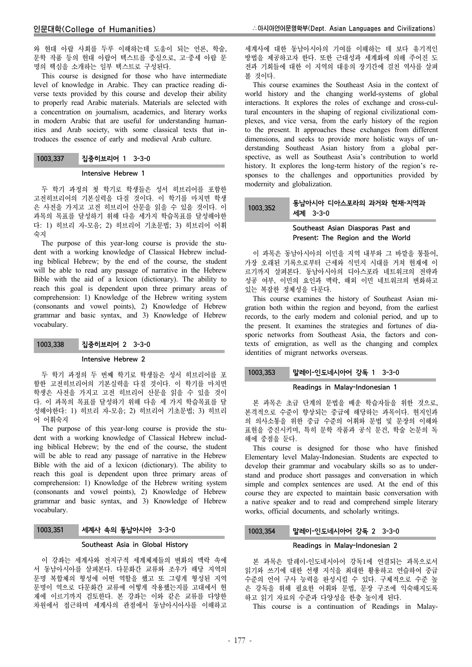와 현대 아랍 사회를 두루 이해하는데 도움이 되는 언론, 학술, 문학 작품 등의 현대 아랍어 텍스트를 중심으로, 고·중세 아랍 문 명의 핵심을 소개하는 일부 텍스트로 구성된다.

This course is designed for those who have intermediate level of knowledge in Arabic. They can practice reading diverse texts provided by this course and develop their ability to properly read Arabic materials. Materials are selected with a concentration on journalism, academics, and literary works in modern Arabic that are useful for understanding humanities and Arab society, with some classical texts that introduces the essence of early and medieval Arab culture.

| 1003.337 | 집중히브리어 1 3-3-0 |  |
|----------|----------------|--|
|----------|----------------|--|

#### Intensive Hebrew 1

두 학기 과정의 첫 학기로 학생들은 성서 히브리어를 포함한 고전히브리어의 기본실력을 다질 것이다. 이 학기를 마치면 학생 은 사전을 가지고 고전 히브리어 산문을 읽을 수 있을 것이다. 이 과목의 목표를 달성하기 위해 다음 세가지 학습목표를 달성해야한 다: 1) 히브리 자-모음; 2) 히브리어 기초문법; 3) 히브리어 어휘 숙지

The purpose of this year-long course is provide the student with a working knowledge of Classical Hebrew including biblical Hebrew; by the end of the course, the student will be able to read any passage of narrative in the Hebrew Bible with the aid of a lexicon (dictionary). The ability to reach this goal is dependent upon three primary areas of comprehension: 1) Knowledge of the Hebrew writing system (consonants and vowel points), 2) Knowledge of Hebrew grammar and basic syntax, and 3) Knowledge of Hebrew vocabulary.

## 1003.338 집중히브리어 2 3-3-0

### Intensive Hebrew 2

두 학기 과정의 두 번째 학기로 학생들은 성서 히브리어를 포 함한 고전히브리어의 기본실력을 다질 것이다. 이 학기를 마치면 학생은 사전을 가지고 고전 히브리어 산문을 읽을 수 있을 것이 다. 이 과목의 목표를 달성하기 위해 다음 세 가지 학습목표를 달 성해야한다: 1) 히브리 자-모음; 2) 히브리어 기초문법; 3) 히브리 어 어휘숙지

The purpose of this year-long course is provide the student with a working knowledge of Classical Hebrew including biblical Hebrew; by the end of the course, the student will be able to read any passage of narrative in the Hebrew Bible with the aid of a lexicon (dictionary). The ability to reach this goal is dependent upon three primary areas of comprehension: 1) Knowledge of the Hebrew writing system (consonants and vowel points), 2) Knowledge of Hebrew grammar and basic syntax, and 3) Knowledge of Hebrew vocabulary.

# 1003.351 세계사 속의 동남아시아 3-3-0

### Southeast Asia in Global History

이 강좌는 세계사와 전지구적 세계체제들의 변화의 맥락 속에 서 동남아시아를 살펴본다. 다문화간 교류와 조우가 해당 지역의 문명 복합체의 형성에 어떤 역할을 했고 또 그렇게 형성된 지역 문명이 역으로 다문화간 교류에 어떻게 작용했는지를 고대에서 현 재에 이르기까지 검토한다. 본 강좌는 이와 같은 교류를 다양한 차원에서 접근하며 세계사의 관점에서 동남아시아사를 이해하고

세계사에 대한 동남아시아의 기여를 이해하는 데 보다 유기적인 방법을 제공하고자 한다. 또한 근대성과 세계화에 의해 주어진 도 전과 기회들에 대한 이 지역의 대응의 장기간에 걸친 역사를 살펴 볼 것이다.

This course examines the Southeast Asia in the context of world history and the changing world-systems of global interactions. It explores the roles of exchange and cross-cultural encounters in the shaping of regional civilizational complexes, and vice versa, from the early history of the region to the present. It approaches these exchanges from different dimensions, and seeks to provide more holistic ways of understanding Southeast Asian history from a global perspective, as well as Southeast Asia's contribution to world history. It explores the long-term history of the region's responses to the challenges and opportunities provided by modernity and globalization.

#### 1003.352 동남아시아 디아스포라의 과거와 현재-지역과 세계 3-3-0

# Southeast Asian Diasporas Past and Present: The Region and the World

이 과목은 동남아시아의 이민을 지역 내부와 그 바깥을 통틀어, 가장 오래된 기록으로부터 근세와 식민지 시대를 거쳐 현재에 이 르기까지 살펴본다. 동남아시아의 디아스포라 네트워크의 전략과 성공 여부, 이민의 요인과 맥락, 해외 이민 네트워크의 변화하고 있는 복잡한 정체성을 다룬다.

This course examines the history of Southeast Asian migration both within the region and beyond, from the earliest records, to the early modern and colonial period, and up to the present. It examines the strategies and fortunes of diasporic networks from Southeast Asia, the factors and contexts of emigration, as well as the changing and complex identities of migrant networks overseas.

# 1003.353 말레이-인도네시아어 강독 1 3-3-0

## Readings in Malay-Indonesian 1

본 과목은 초급 단계의 문법을 배운 학습자들을 위한 것으로, 본격적으로 수준이 향상되는 중급에 해당하는 과목이다. 현지인과 의 의사소통을 위한 중급 수준의 어휘와 문법 및 문장의 이해와 표현을 증진시키며, 특히 문학 작품과 공식 문건, 학술 논문의 독 해에 중점을 둔다.

This course is designed for those who have finished Elementary level Malay-Indonesian. Students are expected to develop their grammar and vocabulary skills so as to understand and produce short passages and conversation in which simple and complex sentences are used. At the end of this course they are expected to maintain basic conversation with a native speaker and to read and comprehend simple literary works, official documents, and scholarly writings.

# 1003.354 말레이-인도네시아어 강독 2 3-3-0

## Readings in Malay-Indonesian 2

본 과목은 말레이-인도네시아어 강독1에 연결되는 과목으로서 읽기와 쓰기에 대한 선행 지식을 최대한 활용하고 연습하여 중급 수준의 언어 구사 능력을 완성시킬 수 있다. 구체적으로 수준 높 은 강독을 위해 필요한 어휘와 문법, 문장 구조에 익숙해지도록 하고 읽기 자료의 수준과 다양성을 한층 높이게 된다.

This course is a continuation of Readings in Malay-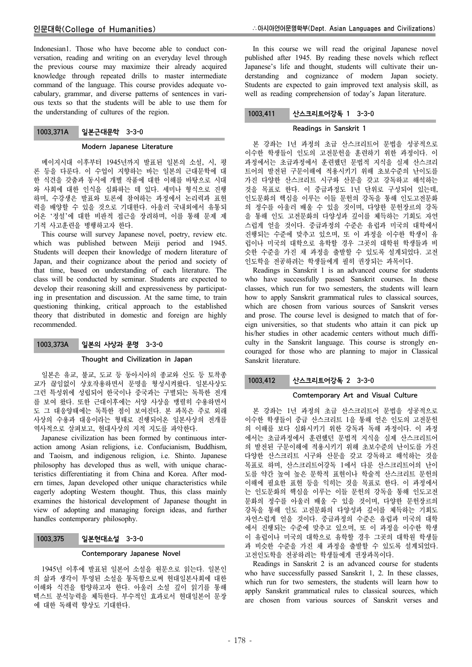Indonesian1. Those who have become able to conduct conversation, reading and writing on an everyday level through the previous course may maximize their already acquired knowledge through repeated drills to master intermediate command of the language. This course provides adequate vocabulary, grammar, and diverse patterns of sentences in various texts so that the students will be able to use them for the understanding of cultures of the region.

# 1003.371A 일본근대문학 3-3-0

#### Modern Japanese Literature

메이지시대 이후부터 1945년까지 발표된 일본의 소설, 시, 평 론 등을 다룬다. 이 수업이 지향하는 바는 일본의 근대문학에 대 한 식견을 갖춤과 동시에 개별 작품에 대한 이해를 바탕으로 시대 와 사회에 대한 인식을 심화하는 데 있다. 세미나 형식으로 진행 하며, 수강생은 발표와 토론에 참여하는 과정에서 논리력과 표현 력을 배양할 수 있을 것으로 기대한다. 아울러 국내외에서 유통되 어온 '정설'에 대한 비판적 접근을 장려하며, 이를 통해 문제 제 기적 사고훈련을 병행하고자 한다.

This course will survey Japanese novel, poetry, review etc. which was published between Meiji period and 1945. Students will deepen their knowledge of modern literature of Japan, and their cognizance about the period and society of that time, based on understanding of each literature. The class will be conducted by seminar. Students are expected to develop their reasoning skill and expressiveness by participating in presentation and discussion. At the same time, to train questioning thinking, critical approach to the established theory that distributed in domestic and foreign are highly recommended.

## 1003.373A 일본의 사상과 문명 3-3-0

## Thought and Civilization in Japan

일본은 유교, 불교, 도교 등 동아시아의 종교와 신도 등 토착종 교가 끊임없이 상호작용하면서 문명을 형성시켜왔다. 일본사상도 그런 특성위에 성립되어 한국이나 중국과는 구별되는 독특한 전개 를 보여 왔다. 또한 근대이후에는 서양 사상을 맹렬히 수용하면서 도 그 대응양태에는 독특한 점이 보여진다. 본 과목은 주로 외래 사상의 수용과 대응이라는 형태로 진행되어온 일본사상의 전개를 역사적으로 살펴보고, 현대사상의 지적 지도를 파악한다.

Japanese civilization has been formed by continuous interaction among Asian religions, i.e. Confucianism, Buddhism, and Taoism, and indigenous religion, i.e. Shinto. Japanese philosophy has developed thus as well, with unique characteristics differentiating it from China and Korea. After modern times, Japan developed other unique characteristics while eagerly adopting Western thought. Thus, this class mainly examines the historical development of Japanese thought in view of adopting and managing foreign ideas, and further handles contemporary philosophy.

## 1003.375 일본현대소설 3-3-0

#### Contemporary Japanese Novel

1945년 이후에 발표된 일본어 소설을 원문으로 읽는다. 일본인 의 삶과 생각이 투영된 소설을 통독함으로써 현대일본사회에 대한 이해와 식견을 함양하고자 한다. 아울러 소설 깊이 읽기를 통해 텍스트 분석능력을 체득한다. 부수적인 효과로서 현대일본어 문장 에 대한 독해력 향상도 기대한다.

In this course we will read the original Japanese novel published after 1945. By reading these novels which reflect Japanese's life and thought, students will cultivate their understanding and cognizance of modern Japan society. Students are expected to gain improved text analysis skill, as well as reading comprehension of today's Japan literature.

# 1003.411 산스크리트어강독 1 3-3-0

## Readings in Sanskrit 1

본 강좌는 1년 과정의 초급 산스크리트어 문법을 성공적으로 이수한 학생들이 인도의 고전문헌을 훈련하기 위한 과정이다. 이 과정에서는 초급과정에서 훈련했던 문법적 지식을 실제 산스크리 트어의 발전된 구문이해에 적용시키기 위해 초보수준의 난이도를 가진 다양한 산스크리트 시구와 산문을 갖고 강독하고 해석하는 것을 목표로 한다. 이 중급과정도 1년 단위로 구성되어 있는데, 인도문화의 핵심을 이루는 이들 문헌의 강독을 통해 인도고전문화 의 정수를 아울러 배울 수 있을 것이며, 다양한 문헌장르의 강독 을 통해 인도 고전문화의 다양성과 깊이를 체득하는 기회도 자연 스럽게 얻을 것이다. 중급과정의 수준은 유럽과 미국의 대학에서 진행되는 수준에 맞추고 있으며, 또 이 과정을 이수한 학생이 유 럽이나 미국의 대학으로 유학할 경우 그곳의 대학원 학생들과 비 슷한 수준을 가진 채 과정을 출발할 수 있도록 설계되었다. 고전 인도학을 전공하려는 학생들에게 필히 권장되는 과목이다.

Readings in Sanskrit 1 is an advanced course for students who have successfully passed Sanskrit courses. In these classes, which run for two semesters, the students will learn how to apply Sanskrit grammatical rules to classical sources, which are chosen from various sources of Sanskrit verses and prose. The course level is designed to match that of foreign universities, so that students who attain it can pick up his/her studies in other academic centers without much difficulty in the Sanskrit language. This course is strongly encouraged for those who are planning to major in Classical Sanskrit literature.

# 1003.412 산스크리트어강독 2 3-3-0

## Comtemporary Art and Visual Culture

본 강좌는 1년 과정의 초급 산스크리트어 문법을 성공적으로 이수한 학생들이 중급 산스크리트 1을 통해 얻은 인도의 고전문헌 의 이해를 보다 심화시키기 위한 강독과 독해 과정이다. 이 과정 에서는 초급과정에서 훈련했던 문법적 지식을 실제 산스크리트어 의 발전된 구문이해에 적용시키기 위해 초보수준의 난이도를 가진 다양한 산스크리트 시구와 산문을 갖고 강독하고 해석하는 것을 목표로 하며, 산스크리트어강독 1에서 다룬 산스크리트어의 난이 도를 약간 높여 높은 문학적 표현이나 학술적 산스크리트 문헌의 이해에 필요한 표현 등을 익히는 것을 목표로 한다. 이 과정에서 는 인도문화의 핵심을 이루는 이들 문헌의 강독을 통해 인도고전 문화의 정수를 아울러 배울 수 있을 것이며, 다양한 문헌장르의 강독을 통해 인도 고전문화의 다양성과 깊이를 체득하는 기회도 자연스럽게 얻을 것이다. 중급과정의 수준은 유럽과 미국의 대학 에서 진행되는 수준에 맞추고 있으며, 또 이 과정을 이수한 학생 이 유럽이나 미국의 대학으로 유학할 경우 그곳의 대학원 학생들 과 비슷한 수준을 가진 채 과정을 출발할 수 있도록 설계되었다. 고전인도학을 전공하려는 학생들에게 권장과목이다.

Readings in Sanskrit 2 is an advanced course for students who have successfully passed Sanskrit 1, 2. In these classes, which run for two semesters, the students will learn how to apply Sanskrit grammatical rules to classical sources, which are chosen from various sources of Sanskrit verses and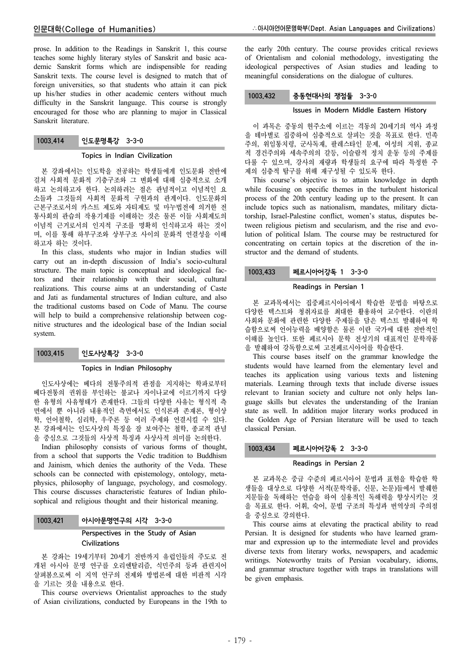prose. In addition to the Readings in Sanskrit 1, this course teaches some highly literary styles of Sanskrit and basic academic Sanskrit forms which are indispensible for reading Sanskrit texts. The course level is designed to match that of foreign universities, so that students who attain it can pick up his/her studies in other academic centers without much difficulty in the Sanskrit language. This course is strongly encouraged for those who are planning to major in Classical Sanskrit literature.

# 1003.414 인도문명특강 3-3-0

### Topics in Indian Civilization

본 강좌에서는 인도학을 전공하는 학생들에게 인도문화 전반에 걸쳐 사회적 문화적 기층구조와 그 변화에 대해 심층적으로 소개 하고 논의하고자 한다. 논의하려는 점은 관념적이고 이념적인 요 소들과 그것들의 사회적 문화적 구현과의 관계이다. 인도문화의 근본구조로서의 카스트 제도와 자티제도 및 마누법전에 의거한 전 통사회의 관습의 작용기제를 이해하는 것은 물론 이들 사회제도의 이념적 근거로서의 인지적 구조를 명확히 인식하고자 하는 것이 며, 이를 통해 하부구조와 상부구조 사이의 문화적 연결성을 이해 하고자 하는 것이다.

In this class, students who major in Indian studies will carry out an in-depth discussion of India's socio-cultural structure. The main topic is conceptual and ideological factors and their relationship with their social, cultural realizations. This course aims at an understanding of Caste and Jati as fundamental structures of Indian culture, and also the traditional customs based on Code of Manu. The course will help to build a comprehensive relationship between cognitive structures and the ideological base of the Indian social system.

# 1003.415 인도사상특강 3-3-0

#### Topics in Indian Philosophy

인도사상에는 베다의 전통주의적 관점을 지지하는 학파로부터 베다전통의 권위를 부인하는 불교나 자이나교에 이르기까지 다양 한 유형의 사유형태가 존재한다. 그들의 다양한 사유는 형식적 측 면에서 뿐 아니라 내용적인 측면에서도 인식론과 존재론, 형이상 학, 언어철학, 심리학, 우주론 등 여러 주제와 연결시킬 수 있다. 본 강좌에서는 인도사상의 특징을 잘 보여주는 철학, 종교적 관념 을 중심으로 그것들의 사상적 특징과 사상사적 의미를 논의한다.

Indian philosophy consists of various forms of thought, from a school that supports the Vedic tradition to Buddhism and Jainism, which denies the authority of the Veda. These schools can be connected with epistemology, ontology, metaphysics, philosophy of language, psychology, and cosmology. This course discusses characteristic features of Indian philosophical and religious thought and their historical meaning.

# Perspectives in the Study of Asian **Civilizations**

본 강좌는 19세기부터 20세기 전반까지 유럽인들의 주도로 전 개된 아시아 문명 연구를 오리엔탈리즘, 식민주의 등과 관련지어 살펴봄으로써 이 지역 연구의 전제와 방법론에 대한 비판적 시각 을 기르는 것을 내용으로 한다.

This course overviews Orientalist approaches to the study of Asian civilizations, conducted by Europeans in the 19th to the early 20th century. The course provides critical reviews of Orientalism and colonial methodology, investigating the ideological perspectives of Asian studies and leading to meaningful considerations on the dialogue of cultures.

# 1003.432 중동현대사의 쟁점들 3-3-0

### Issues in Modern Middle Eastern History

이 과목은 중동의 현주소에 이르는 격동의 20세기의 역사 과정 을 테마별로 집중하여 심층적으로 살피는 것을 목표로 한다. 민족 주의, 위임통치령, 군사독재, 팔레스타인 문제, 여성의 지위, 종교 적 경건주의와 세속주의의 갈등, 이슬람적 정치 운동 등의 주제를 다룰 수 있으며, 강사의 재량과 학생들의 요구에 따라 특정한 주 제의 심층적 탐구를 위해 재구성될 수 있도록 한다.

This course's objective is to attain knowledge in depth while focusing on specific themes in the turbulent historical process of the 20th century leading up to the present. It can include topics such as nationalism, mandates, military dictatorship, Israel-Palestine conflict, women's status, disputes between religious pietism and secularism, and the rise and evolution of political Islam. The course may be restructured for concentrating on certain topics at the discretion of the instructor and the demand of students.

# 1003.433 페르시아어강독 1 3-3-0

#### Readings in Persian 1

본 교과목에서는 집중페르시아어에서 학습한 문법을 바탕으로 다양한 텍스트와 청취자료를 최대한 활용하여 교수한다. 이란의 사회와 문화에 관련한 다양한 주제들을 담은 텍스트 발췌하여 학 습함으로써 언어능력을 배양함은 물론 이란 국가에 대한 전반적인 이해를 높인다. 또한 페르시아 문학 전성기의 대표적인 문학작품 을 발췌하여 강독함으로써 고전페르시아어를 학습한다.

This course bases itself on the grammar knowledge the students would have learned from the elementary level and teaches its application using various texts and listening materials. Learning through texts that include diverse issues relevant to Iranian society and culture not only helps language skills but elevates the understanding of the Iranian state as well. In addition major literary works produced in the Golden Age of Persian literature will be used to teach classical Persian.

## 1003.434 페르시아어강독 2 3-3-0

### Readings in Persian 2

본 교과목은 중급 수준의 페르시아어 문법과 표현을 학습한 학 생들을 대상으로 다양한 서적(문학작품, 신문, 논문)들에서 발췌한 지문들을 독해하는 연습을 하여 실용적인 독해력을 향상시키는 것 을 목표로 한다. 어휘, 숙어, 문법 구조의 특성과 번역상의 주의점 을 중심으로 강의한다.

This course aims at elevating the practical ability to read Persian. It is designed for students who have learned grammar and expression up to the intermediate level and provides diverse texts from literary works, newspapers, and academic writings. Noteworthy traits of Persian vocabulary, idioms, and grammar structure together with traps in translations will be given emphasis.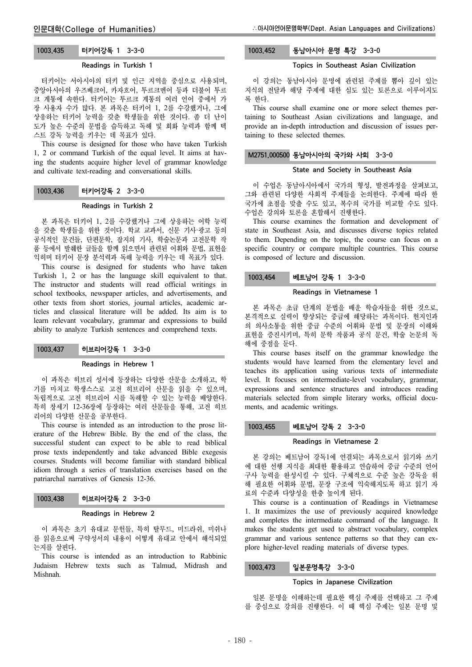# 1003.435 터키어강독 1 3-3-0

#### Readings in Turkish 1

터키어는 서아시아의 터키 및 인근 지역을 중심으로 사용되며, 중앙아시아의 우즈베크어, 카자흐어, 투르크멘어 등과 더불어 투르 크 계통에 속한다. 터키어는 투르크 계통의 여러 언어 중에서 가 장 사용자 수가 많다. 본 과목은 터키어 1, 2를 수강했거나, 그에 상응하는 터키어 능력을 갖춘 학생들을 위한 것이다. 좀 더 난이 도가 높은 수준의 문법을 습득하고 독해 및 회화 능력과 함께 텍 스트 강독 능력을 키우는 데 목표가 있다.

This course is designed for those who have taken Turkish 1, 2 or command Turkish of the equal level. It aims at having the students acquire higher level of grammar knowledge and cultivate text-reading and conversational skills.

## 1003.436 터키어강독 2 3-3-0

#### Readings in Turkish 2

본 과목은 터키어 1, 2를 수강했거나 그에 상응하는 어학 능력 을 갖춘 학생들을 위한 것이다. 학교 교과서, 신문 기사·광고 등의 공식적인 문건들, 단편문학, 잡지의 기사, 학술논문과 고전문학 작 품 등에서 발췌한 글들을 함께 읽으면서 관련된 어휘와 문법, 표현을 익히며 터키어 문장 분석력과 독해 능력을 키우는 데 목표가 있다.

This course is designed for students who have taken Turkish 1, 2 or has the language skill equivalent to that. The instructor and students will read official writings in school textbooks, newspaper articles, and advertisements, and other texts from short stories, journal articles, academic articles and classical literature will be added. Its aim is to learn relevant vocabulary, grammar and expressions to build ability to analyze Turkish sentences and comprehend texts.

## 1003.437 히브리어강독 1 3-3-0

#### Readings in Hebrew 1

이 과목은 히브리 성서에 등장하는 다양한 산문을 소개하고, 학 기를 마치고 학생스스로 고전 히브리어 산문을 읽을 수 있으며, 독립적으로 고전 히브리어 시를 독해할 수 있는 능력을 배양한다. 특히 창세기 12-36장에 등장하는 여러 산문들을 통해, 고전 히브 리어의 다양한 산문을 공부한다.

This course is intended as an introduction to the prose literature of the Hebrew Bible. By the end of the class, the successful student can expect to be able to read biblical prose texts independently and take advanced Bible exegesis courses. Students will become familiar with standard biblical idiom through a series of translation exercises based on the patriarchal narratives of Genesis 12-36.

### 1003.438 히브리어강독 2 3-3-0

#### Readings in Hebrew 2

이 과목은 초기 유대교 문헌들, 특히 탈무드, 미드라쉬, 미쉬나 를 읽음으로써 구약성서의 내용이 어떻게 유대교 안에서 해석되었 는지를 살핀다.

This course is intended as an introduction to Rabbinic Judaism Hebrew texts such as Talmud, Midrash and Mishnah.

# 1003.452 동남아시아 문명 특강 3-3-0

# Topics in Southeast Asian Civilization

이 강의는 동남아시아 문명에 관련된 주제를 뽑아 깊이 있는 지식의 전달과 해당 주제에 대한 심도 있는 토론으로 이루어지도 록 한다.

This course shall examine one or more select themes pertaining to Southeast Asian civilizations and language, and provide an in-depth introduction and discussion of issues pertaining to these selected themes.

# M2751.000500 동남아시아의 국가와 사회 3-3-0

# State and Society in Southeast Asia

이 수업은 동남아시아에서 국가의 형성, 발전과정을 살펴보고, 그와 관련된 다양한 사회적 주제들을 논의한다. 주제에 따라 한 국가에 초점을 맞출 수도 있고, 복수의 국가를 비교할 수도 있다. 수업은 강의와 토론을 혼합해서 진행한다.

This course examines the formation and development of state in Southeast Asia, and discusses diverse topics related to them. Depending on the topic, the course can focus on a specific country or compare multiple countries. This course is composed of lecture and discussion.

#### 1003.454 베트남어 강독 1 3-3-0

#### Readings in Vietnamese 1

본 과목은 초급 단계의 문법을 배운 학습자들을 위한 것으로, 본격적으로 실력이 향상되는 중급에 해당하는 과목이다. 현지인과 의 의사소통을 위한 중급 수준의 어휘와 문법 및 문장의 이해와 표현을 증진시키며, 특히 문학 작품과 공식 문건, 학술 논문의 독 해에 중점을 둔다.

This course bases itself on the grammar knowledge the students would have learned from the elementary level and teaches its application using various texts of intermediate level. It focuses on intermediate-level vocabulary, grammar, expressions and sentence structures and introduces reading materials selected from simple literary works, official documents, and academic writings.

#### 1003.455 베트남어 강독 2 3-3-0

#### Readings in Vietnamese 2

본 강의는 베트남어 강독1에 연결되는 과목으로서 읽기와 쓰기 에 대한 선행 지식을 최대한 활용하고 연습하여 중급 수준의 언어 구사 능력을 완성시킬 수 있다. 구체적으로 수준 높은 강독을 위 해 필요한 어휘와 문법, 문장 구조에 익숙해지도록 하고 읽기 자 료의 수준과 다양성을 한층 높이게 된다.

This course is a continuation of Readings in Vietnamese 1. It maximizes the use of previously acquired knowledge and completes the intermediate command of the language. It makes the students get used to abstract vocabulary, complex grammar and various sentence patterns so that they can explore higher-level reading materials of diverse types.

## 1003.473 일본문명특강 3-3-0

#### Topics in Japanese Civilization

일본 문명을 이해하는데 필요한 핵심 주제를 선택하고 그 주제 를 중심으로 강의를 진행한다. 이 때 핵심 주제는 일본 문명 및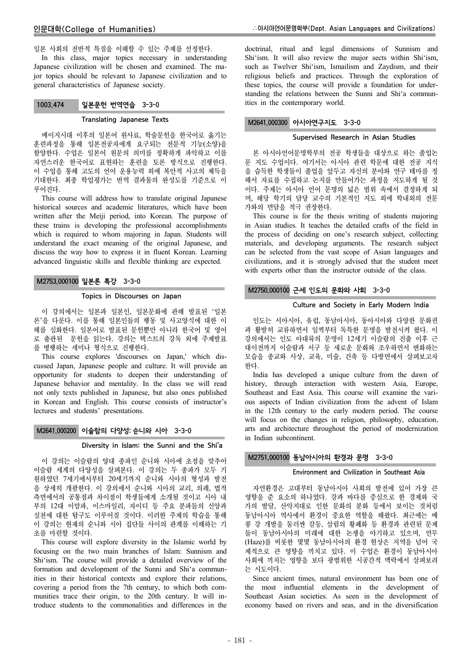일본 사회의 전반적 특질을 이해할 수 있는 주제를 선정한다.

In this class, major topics necessary in understanding Japanese civilization will be chosen and examined. The major topics should be relevant to Japanese civilization and to general characteristics of Japanese society.

# 1003.474 일본문헌 번역연습 3-3-0

#### Translating Japanese Texts

메이지시대 이후의 일본어 원사료, 학술문헌을 한국어로 옮기는 훈련과정을 통해 일본전공자에게 요구되는 전문적 기능(소양)을 함양한다. 수업은 일본어 원문의 의미를 정확하게 파악하고 이를 자연스러운 한국어로 표현하는 훈련을 토론 방식으로 진행한다. 이 수업을 통해 고도의 언어 운용능력 외에 복안적 사고의 체득을 기대한다. 최종 학업평가는 번역 결과물의 완성도를 기준으로 이 루어진다.

This course will address how to translate original Japanese historical sources and academic literatures, which have been written after the Meiji period, into Korean. The purpose of these trains is developing the professional accomplishments which is required to whom majoring in Japan. Students will understand the exact meaning of the original Japanese, and discuss the way how to express it in fluent Korean. Learning advanced linguistic skills and flexible thinking are expected.

# M2753.000100 일본론 특강 3-3-0

#### Topics in Discourses on Japan

이 강의에서는 일본과 일본인, 일본문화에 관해 발표된 '일본 론'을 다룬다. 이를 통해 일본인들의 행동 및 사고양식에 대한 이 해를 심화한다. 일본어로 발표된 문헌뿐만 아니라 한국어 및 영어 로 출판된 문헌을 읽는다. 강의는 텍스트의 강독 외에 주제발표 를 병행하는 세미나 형식으로 진행한다.

This course explores 'discourses on Japan,' which discussed Japan, Japanese people and culture. It will provide an opportunity for students to deepen their understanding of Japanese behavior and mentality. In the class we will read not only texts published in Japanese, but also ones published in Korean and English. This course consists of instructor's lectures and students' presentations.

# M2641.000200 이슬람의 다양성: 순니와 시아 3-3-0

# Diversity in Islam: the Sunni and the Shi'a

이 강의는 이슬람의 양대 종파인 순니와 시아에 초점을 맞추어 이슬람 세계의 다양성을 살펴본다. 이 강의는 두 종파가 모두 기 원하였던 7세기에서부터 20세기까지 순니와 시아의 형성과 발전 을 상세히 개괄한다. 이 강의에서 순니와 시아의 교리, 의례, 법적 측면에서의 공통점과 차이점이 학생들에게 소개될 것이고 시아 내 부의 12대 이맘파, 이스마일리, 자이디 등 주요 분파들의 신앙과 실천에 대한 탐구도 이루어질 것이다. 이러한 주제의 학습을 통해 이 강의는 현재의 순니와 시아 집단들 사이의 관계를 이해하는 기 초를 마련할 것이다.

This course will explore diversity in the Islamic world by focusing on the two main branches of Islam: Sunnism and Shi'ism. The course will provide a detailed overview of the formation and development of the Sunni and Shi'a communities in their historical contexts and explore their relations, covering a period from the 7th century, to which both communities trace their origin, to the 20th century. It will introduce students to the commonalities and differences in the

doctrinal, ritual and legal dimensions of Sunnism and Shi'ism. It will also review the major sects within Shi'ism, such as Twelver Shi'ism, Ismailism and Zaydism, and their religious beliefs and practices. Through the exploration of these topics, the course will provide a foundation for understanding the relations between the Sunni and Shi'a communities in the contemporary world.

## M2641.000300 아시아연구지도 3-3-0

### Supervised Research in Asian Studies

본 아시아언어문명학부의 전공 학생들을 대상으로 하는 졸업논 문 지도 수업이다. 여기서는 아시아 관련 학문에 대한 전공 지식 을 습득한 학생들이 졸업을 앞두고 자신의 분야와 연구 테마를 정 해서 자료를 수집하고 논지를 만들어가는 과정을 지도하게 될 것 이다. 주제는 아시아 언어 문명의 넓은 범위 속에서 결정하게 되 며, 해당 학기의 담당 교수의 기본적인 지도 외에 학내외의 전문 가와의 면담을 적극 권장한다.

This course is for the thesis writing of students majoring in Asian studies. It teaches the detailed crafts of the field in the process of deciding on one's research subject, collecting materials, and developing arguments. The research subject can be selected from the vast scope of Asian languages and civilizations, and it is strongly advised that the student meet with experts other than the instructor outside of the class.

## M2750.000100 근세 인도의 문화와 사회 3-3-0

#### Culture and Society in Early Modern India

인도는 서아시아, 유럽, 동남아시아, 동아시아와 다양한 문화권 과 활발히 교류하면서 일찍부터 독특한 문명을 발전시켜 왔다. 이 강의에서는 인도 아대륙의 문명이 12세기 이슬람의 진출 이후 근 대이전까지 이슬람과 서구 등 새로운 문화와 조우하면서 변화하는 모습을 종교와 사상, 교육, 미술, 건축 등 다방면에서 살펴보고자 한다.

India has developed a unique culture from the dawn of history, through interaction with western Asia, Europe, Southeast and East Asia. This course will examine the various aspects of Indian civilization from the advent of Islam in the 12th century to the early modern period. The course will focus on the changes in religion, philosophy, education, arts and architecture throughout the period of modernization in Indian subcontinent.

### M2751.000100 동남아시아의 환경과 문명 3-3-0

#### Environment and Civilization in Southeast Asia

자연환경은 고대부터 동남아시아 사회의 발전에 있어 가장 큰 영향을 준 요소의 하나였다. 강과 바다를 중심으로 한 경제와 국 가의 발달, 산악지대로 인한 문화의 분화 등에서 보이는 것처럼 동남아시아 역사에서 환경이 중요한 역할을 해왔다. 최근에는 메 콩 강 개발을 둘러싼 갈등, 삼림의 황폐화 등 환경과 관련된 문제 들이 동남아시아의 미래에 대한 논쟁을 야기하고 있으며, 연무 (Haze)를 비롯한 몇몇 동남아시아의 환경 현상은 지역을 넘어 국 제적으로 큰 영향을 끼치고 있다. 이 수업은 환경이 동남아시아 사회에 끼치는 영향을 보다 광범위한 시공간적 맥락에서 살펴보려 는 시도이다.

Since ancient times, natural environment has been one of the most influential elements in the development of Southeast Asian societies. As seen in the development of economy based on rivers and seas, and in the diversification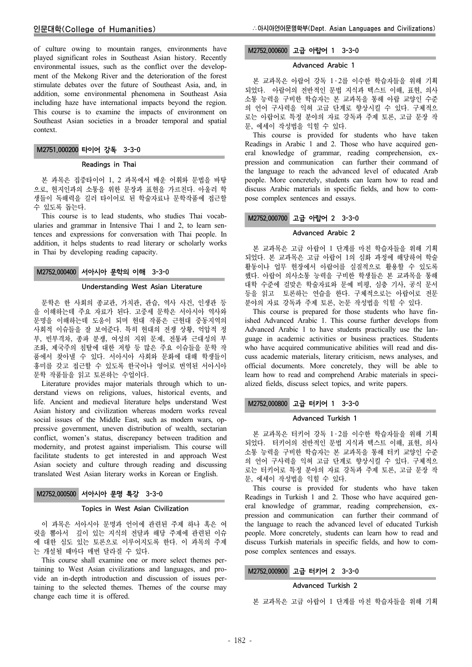of culture owing to mountain ranges, environments have played significant roles in Southeast Asian history. Recently environmental issues, such as the conflict over the development of the Mekong River and the deterioration of the forest stimulate debates over the future of Southeast Asia, and, in addition, some environmental phenomena in Southeast Asia including haze have international impacts beyond the region. This course is to examine the impacts of environment on Southeast Asian societies in a broader temporal and spatial context.

### M2751.000200 타이어 강독 3-3-0

#### Readings in Thai

본 과목은 집중타이어 1, 2 과목에서 배운 어휘와 문법을 바탕 으로, 현지인과의 소통을 위한 문장과 표현을 가르친다. 아울러 학 생들이 독해력을 길러 타이어로 된 학술자료나 문학작품에 접근할 수 있도록 돕는다.

This course is to lead students, who studies Thai vocabularies and grammar in Intensive Thai 1 and 2, to learn sentences and expressions for conversation with Thai people. In addition, it helps students to read literary or scholarly works in Thai by developing reading capacity.

# M2752.000400 서아시아 문학의 이해 3-3-0

#### Understanding West Asian Literature

문학은 한 사회의 종교관, 가치관, 관습, 역사 사건, 인생관 등 을 이해하는데 주요 자료가 된다. 고중세 문학은 서아시아 역사와 문명을 이해하는데 도움이 되며 현대 작품은 근현대 중동지역의 사회적 이슈들을 잘 보여준다. 특히 현대의 전쟁 상황, 억압적 정 부, 빈부격차, 종파 분쟁, 여성의 지위 문제, 전통과 근대성의 부 조화, 제국주의 침탈에 대한 저항 등 많은 주요 이슈들을 문학 작 품에서 찾아낼 수 있다. 서아시아 사회와 문화에 대해 학생들이 흥미를 갖고 접근할 수 있도록 한국어나 영어로 번역된 서아시아 문학 작품들을 읽고 토론하는 수업이다.

Literature provides major materials through which to understand views on religions, values, historical events, and life. Ancient and medieval literature helps understand West Asian history and civilization whereas modern works reveal social issues of the Middle East, such as modern wars, oppressive government, uneven distribution of wealth, sectarian conflict, women's status, discrepancy between tradition and modernity, and protest against imperialism. This course will facilitate students to get interested in and approach West Asian society and culture through reading and discussing translated West Asian literary works in Korean or English.

# M2752.000500 서아시아 문명 특강 3-3-0

#### Topics in West Asian Civilization

이 과목은 서아시아 문명과 언어에 관련된 주제 하나 혹은 여 럿을 뽑아서 깊이 있는 지식의 전달과 해당 주제에 관련된 이슈 에 대한 심도 있는 토론으로 이루어지도록 한다. 이 과목의 주제 는 개설될 때마다 매번 달라질 수 있다.

This course shall examine one or more select themes pertaining to West Asian civilizations and languages, and provide an in-depth introduction and discussion of issues pertaining to the selected themes. Themes of the course may change each time it is offered.

# M2752.000600 고급 아랍어 1 3-3-0

#### Advanced Arabic 1

본 교과목은 아랍어 강독 1 ․ 2를 이수한 학습자들을 위해 기획 되었다. 아랍어의 전반적인 문법 지식과 텍스트 이해, 표현, 의사 소통 능력을 구비한 학습자는 본 교과목을 통해 아랍 교양인 수준 의 언어 구사력을 익혀 고급 단계로 향상시킬 수 있다. 구체적으 로는 아랍어로 특정 분야의 자료 강독과 주제 토론, 고급 문장 작 문, 에세이 작성법을 익힐 수 있다.

This course is provided for students who have taken Readings in Arabic 1 and 2. Those who have acquired general knowledge of grammar, reading comprehension, expression and communication can further their command of the language to reach the advanced level of educated Arab people. More concretely, students can learn how to read and discuss Arabic materials in specific fields, and how to compose complex sentences and essays.

# M2752.000700 고급 아랍어 2 3-3-0

#### Advanced Arabic 2

본 교과목은 고급 아랍어 1 단계를 마친 학습자들을 위해 기획 되었다. 본 교과목은 고급 아랍어 1의 심화 과정에 해당하여 학술 활동이나 업무 현장에서 아랍어를 실질적으로 활용할 수 있도록 했다. 아랍어 의사소통 능력을 구비한 학생들은 본 교과목을 통해 대학 수준에 걸맞은 학술자료와 문예 비평, 심층 기사, 공식 문서 등을 읽고 토론하는 연습을 한다. 구체적으로는 아랍어로 전문 분야의 자료 강독과 주제 토론, 논문 작성법을 익힐 수 있다.

This course is prepared for those students who have finished Advanced Arabic 1. This course further develops from Advanced Arabic 1 to have students practically use the language in academic activities or business practices. Students who have acquired communicative abilities will read and discuss academic materials, literary criticism, news analyses, and official documents. More concretely, they will be able to learn how to read and comprehend Arabic materials in specialized fields, discuss select topics, and write papers.

### M2752.000800 고급 터키어 1 3-3-0

#### Advanced Turkish 1

본 교과목은 터키어 강독 1 ․ 2를 이수한 학습자들을 위해 기획 되었다. 터키어의 전반적인 문법 지식과 텍스트 이해, 표현, 의사 소통 능력을 구비한 학습자는 본 교과목을 통해 터키 교양인 수준 의 언어 구사력을 익혀 고급 단계로 향상시킬 수 있다. 구체적으 로는 터키어로 특정 분야의 자료 강독과 주제 토론, 고급 문장 작 문, 에세이 작성법을 익힐 수 있다.

This course is provided for students who have taken Readings in Turkish 1 and 2. Those who have acquired general knowledge of grammar, reading comprehension, expression and communication can further their command of the language to reach the advanced level of educated Turkish people. More concretely, students can learn how to read and discuss Turkish materials in specific fields, and how to compose complex sentences and essays.

# M2752.000900 고급 터키어 2 3-3-0

### Advanced Turkish 2

본 교과목은 고급 아랍어 1 단계를 마친 학습자들을 위해 기획